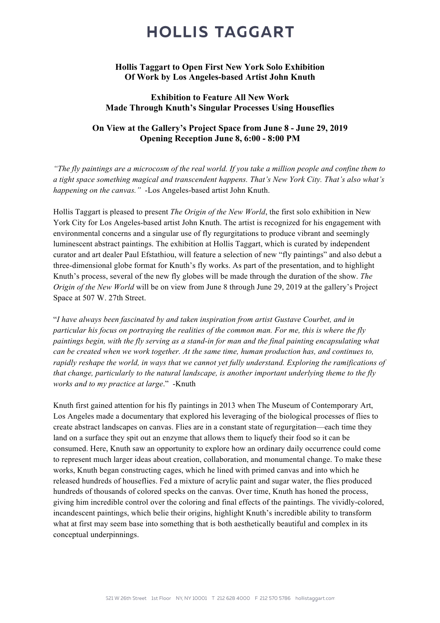## **HOLLIS TAGGART**

### Hollis Taggart to Open First New York Solo Exhibition Of Work by Los Angeles-based Artist John Knuth

### Exhibition to Feature All New Work Made Through Knuth's Singular Processes Using Houseflies

### On View at the Gallery's Project Space from June 8 - June 29, 2019 Opening Reception June 8, 6:00 - 8:00 PM

*"The fly paintings are a microcosm of the real world. If you take a million people and confine them to a tight space something magical and transcendent happens. That's New York City. That's also what's happening on the canvas."* -Los Angeles-based artist John Knuth.

Hollis Taggart is pleased to present *The Origin of the New World*, the first solo exhibition in New York City for Los Angeles-based artist John Knuth. The artist is recognized for his engagement with environmental concerns and a singular use of fly regurgitations to produce vibrant and seemingly luminescent abstract paintings. The exhibition at Hollis Taggart, which is curated by independent curator and art dealer Paul Efstathiou, will feature a selection of new "fly paintings" and also debut a three-dimensional globe format for Knuth's fly works. As part of the presentation, and to highlight Knuth's process, several of the new fly globes will be made through the duration of the show. *The Origin of the New World* will be on view from June 8 through June 29, 2019 at the gallery's Project Space at 507 W. 27th Street.

"*I have always been fascinated by and taken inspiration from artist Gustave Courbet, and in particular his focus on portraying the realities of the common man. For me, this is where the fly paintings begin, with the fly serving as a stand-in for man and the final painting encapsulating what can be created when we work together. At the same time, human production has, and continues to, rapidly reshape the world, in ways that we cannot yet fully understand. Exploring the ramifications of that change, particularly to the natural landscape, is another important underlying theme to the fly works and to my practice at large*." -Knuth

Knuth first gained attention for his fly paintings in 2013 when The Museum of Contemporary Art, Los Angeles made a documentary that explored his leveraging of the biological processes of flies to create abstract landscapes on canvas. Flies are in a constant state of regurgitation—each time they land on a surface they spit out an enzyme that allows them to liquefy their food so it can be consumed. Here, Knuth saw an opportunity to explore how an ordinary daily occurrence could come to represent much larger ideas about creation, collaboration, and monumental change. To make these works, Knuth began constructing cages, which he lined with primed canvas and into which he released hundreds of houseflies. Fed a mixture of acrylic paint and sugar water, the flies produced hundreds of thousands of colored specks on the canvas. Over time, Knuth has honed the process, giving him incredible control over the coloring and final effects of the paintings. The vividly-colored, incandescent paintings, which belie their origins, highlight Knuth's incredible ability to transform what at first may seem base into something that is both aesthetically beautiful and complex in its conceptual underpinnings.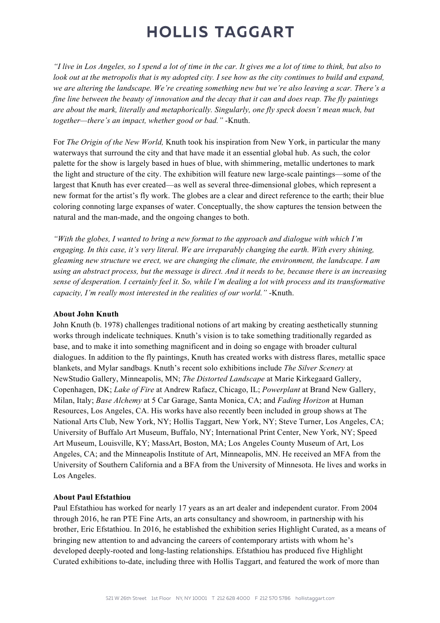# **HOLLIS TAGGART**

*"I live in Los Angeles, so I spend a lot of time in the car. It gives me a lot of time to think, but also to look out at the metropolis that is my adopted city. I see how as the city continues to build and expand, we are altering the landscape. We're creating something new but we're also leaving a scar. There's a fine line between the beauty of innovation and the decay that it can and does reap. The fly paintings are about the mark, literally and metaphorically. Singularly, one fly speck doesn't mean much, but together—there's an impact, whether good or bad."* -Knuth.

For *The Origin of the New World,* Knuth took his inspiration from New York, in particular the many waterways that surround the city and that have made it an essential global hub. As such, the color palette for the show is largely based in hues of blue, with shimmering, metallic undertones to mark the light and structure of the city. The exhibition will feature new large-scale paintings—some of the largest that Knuth has ever created—as well as several three-dimensional globes, which represent a new format for the artist's fly work. The globes are a clear and direct reference to the earth; their blue coloring connoting large expanses of water. Conceptually, the show captures the tension between the natural and the man-made, and the ongoing changes to both.

*"With the globes, I wanted to bring a new format to the approach and dialogue with which I'm engaging. In this case, it's very literal. We are irreparably changing the earth. With every shining, gleaming new structure we erect, we are changing the climate, the environment, the landscape. I am using an abstract process, but the message is direct. And it needs to be, because there is an increasing sense of desperation. I certainly feel it. So, while I'm dealing a lot with process and its transformative capacity, I'm really most interested in the realities of our world."* -Knuth.

#### About John Knuth

John Knuth (b. 1978) challenges traditional notions of art making by creating aesthetically stunning works through indelicate techniques. Knuth's vision is to take something traditionally regarded as base, and to make it into something magnificent and in doing so engage with broader cultural dialogues. In addition to the fly paintings, Knuth has created works with distress flares, metallic space blankets, and Mylar sandbags. Knuth's recent solo exhibitions include *The Silver Scenery* at NewStudio Gallery, Minneapolis, MN; *The Distorted Landscape* at Marie Kirkegaard Gallery, Copenhagen, DK; *Lake of Fire* at Andrew Rafacz, Chicago, IL; *Powerplant* at Brand New Gallery, Milan, Italy; *Base Alchemy* at 5 Car Garage, Santa Monica, CA; and *Fading Horizon* at Human Resources, Los Angeles, CA. His works have also recently been included in group shows at The National Arts Club, New York, NY; Hollis Taggart, New York, NY; Steve Turner, Los Angeles, CA; University of Buffalo Art Museum, Buffalo, NY; International Print Center, New York, NY; Speed Art Museum, Louisville, KY; MassArt, Boston, MA; Los Angeles County Museum of Art, Los Angeles, CA; and the Minneapolis Institute of Art, Minneapolis, MN. He received an MFA from the University of Southern California and a BFA from the University of Minnesota. He lives and works in Los Angeles.

#### About Paul Efstathiou

Paul Efstathiou has worked for nearly 17 years as an art dealer and independent curator. From 2004 through 2016, he ran PTE Fine Arts, an arts consultancy and showroom, in partnership with his brother, Eric Efstathiou. In 2016, he established the exhibition series Highlight Curated, as a means of bringing new attention to and advancing the careers of contemporary artists with whom he's developed deeply-rooted and long-lasting relationships. Efstathiou has produced five Highlight Curated exhibitions to-date, including three with Hollis Taggart, and featured the work of more than